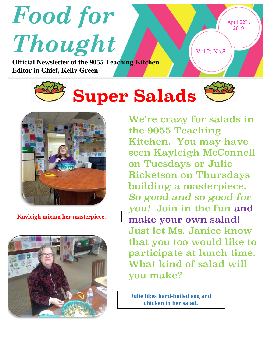



**Kayleigh mixing her masterpiece.**



We're crazy for salads in the 9055 Teaching Kitchen. You may have seen Kayleigh McConnell on Tuesdays or Julie Ricketson on Thursdays building a masterpiece. *So good and so good for you!* Join in the fun and make your own salad! Just let Ms. Janice know that you too would like to participate at lunch time. What kind of salad will you make?

**Julie likes hard-boiled egg and chicken in her salad.**